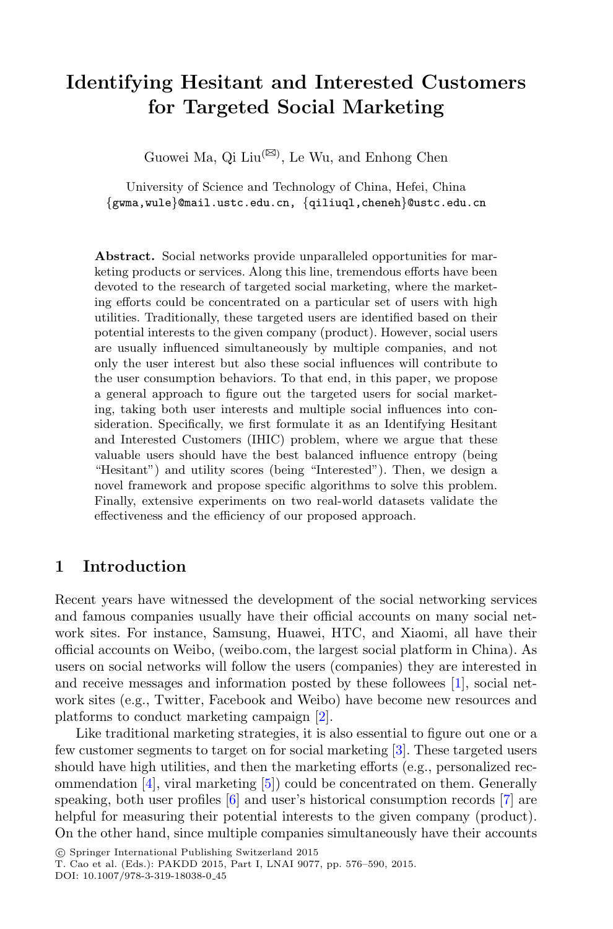# **Identifying Hesitant and Interested Customers for Targeted Social Marketing**

Guowei Ma, Qi $\mathop{\rm Liu}\nolimits^{(\boxtimes)}$ , Le Wu, and Enhong Chen

University of Science and Technology of China, Hefei, China {gwma,wule}@mail.ustc.edu.cn, {qiliuql,cheneh}@ustc.edu.cn

**Abstract.** Social networks provide unparalleled opportunities for marketing products or services. Along this line, tremendous efforts have been devoted to the research of targeted social marketing, where the marketing efforts could be concentrated on a particular set of users with high utilities. Traditionally, these targeted users are identified based on their potential interests to the given company (product). However, social users are usually influenced simultaneously by multiple companies, and not only the user interest but also these social influences will contribute to the user consumption behaviors. To that end, in this paper, we propose a general approach to figure out the targeted users for social marketing, taking both user interests and multiple social influences into consideration. Specifically, we first formulate it as an Identifying Hesitant and Interested Customers (IHIC) problem, where we argue that these valuable users should have the best balanced influence entropy (being "Hesitant") and utility scores (being "Interested"). Then, we design a novel framework and propose specific algorithms to solve this problem. Finally, extensive experiments on two real-world datasets validate the effectiveness and the efficiency of our proposed approach.

## **1 Introduction**

Recent years have witnessed the development of the social networking services and famous companies usually have their official accounts on many social network sites. For instance, Samsung, Huawei, HTC, and Xiaomi, all have their official accounts on Weibo, (weibo.com, the largest social platform in China). As users on social networks will follow the users (companies) they are interested in and receive messages and information posted by these followees [\[1\]](#page-13-0), social network sites (e.g., Twitter, Facebook and Weibo) have become new resources and platforms to conduct marketing campaign [\[2](#page-13-1)].

Like traditional marketing strategies, it is also essential to figure out one or a few customer segments to target on for social marketing [\[3\]](#page-13-2). These targeted users should have high utilities, and then the marketing efforts (e.g., personalized recommendation [\[4](#page-13-3)], viral marketing [\[5\]](#page-13-4)) could be concentrated on them. Generally speaking, both user profiles [\[6](#page-13-5)] and user's historical consumption records [\[7\]](#page-13-6) are helpful for measuring their potential interests to the given company (product). On the other hand, since multiple companies simultaneously have their accounts

<sup>-</sup>c Springer International Publishing Switzerland 2015

T. Cao et al. (Eds.): PAKDD 2015, Part I, LNAI 9077, pp. 576–590, 2015.

DOI: 10.1007/978-3-319-18038-0 45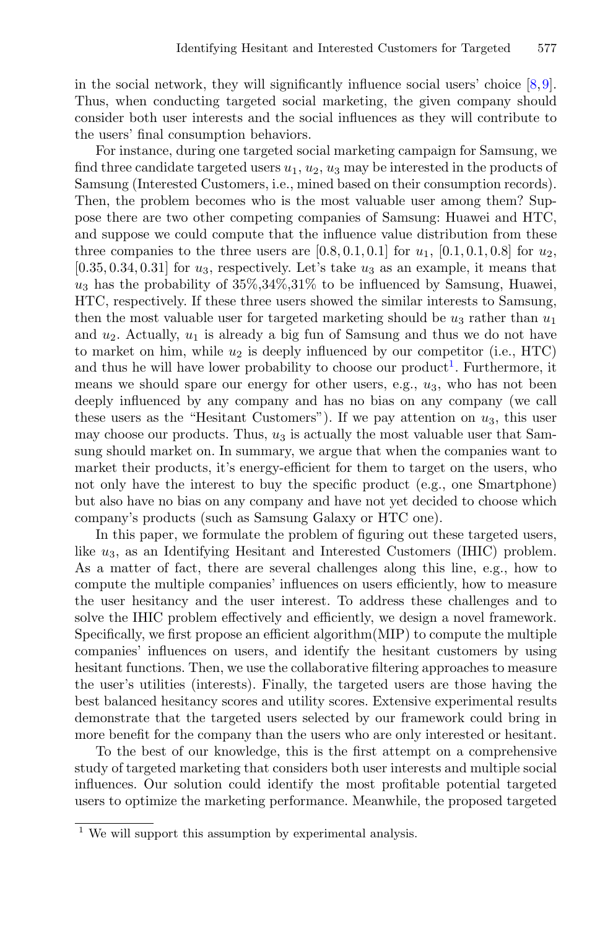in the social network, they will significantly influence social users' choice [\[8](#page-13-7),[9\]](#page-13-8). Thus, when conducting targeted social marketing, the given company should consider both user interests and the social influences as they will contribute to the users' final consumption behaviors.

For instance, during one targeted social marketing campaign for Samsung, we find three candidate targeted users  $u_1, u_2, u_3$  may be interested in the products of Samsung (Interested Customers, i.e., mined based on their consumption records). Then, the problem becomes who is the most valuable user among them? Suppose there are two other competing companies of Samsung: Huawei and HTC, and suppose we could compute that the influence value distribution from these three companies to the three users are  $[0.8, 0.1, 0.1]$  for  $u_1$ ,  $[0.1, 0.1, 0.8]$  for  $u_2$ ,  $[0.35, 0.34, 0.31]$  for  $u_3$ , respectively. Let's take  $u_3$  as an example, it means that  $u_3$  has the probability of  $35\%, 34\%, 31\%$  to be influenced by Samsung, Huawei, HTC, respectively. If these three users showed the similar interests to Samsung, then the most valuable user for targeted marketing should be  $u_3$  rather than  $u_1$ and  $u_2$ . Actually,  $u_1$  is already a big fun of Samsung and thus we do not have to market on him, while  $u_2$  is deeply influenced by our competitor (i.e., HTC) and thus he will have lower probability to choose our product<sup>[1](#page-1-0)</sup>. Furthermore, it means we should spare our energy for other users, e.g.,  $u_3$ , who has not been deeply influenced by any company and has no bias on any company (we call these users as the "Hesitant Customers"). If we pay attention on  $u_3$ , this user may choose our products. Thus,  $u_3$  is actually the most valuable user that Samsung should market on. In summary, we argue that when the companies want to market their products, it's energy-efficient for them to target on the users, who not only have the interest to buy the specific product (e.g., one Smartphone) but also have no bias on any company and have not yet decided to choose which company's products (such as Samsung Galaxy or HTC one).

In this paper, we formulate the problem of figuring out these targeted users, like  $u_3$ , as an Identifying Hesitant and Interested Customers (IHIC) problem. As a matter of fact, there are several challenges along this line, e.g., how to compute the multiple companies' influences on users efficiently, how to measure the user hesitancy and the user interest. To address these challenges and to solve the IHIC problem effectively and efficiently, we design a novel framework. Specifically, we first propose an efficient algorithm(MIP) to compute the multiple companies' influences on users, and identify the hesitant customers by using hesitant functions. Then, we use the collaborative filtering approaches to measure the user's utilities (interests). Finally, the targeted users are those having the best balanced hesitancy scores and utility scores. Extensive experimental results demonstrate that the targeted users selected by our framework could bring in more benefit for the company than the users who are only interested or hesitant.

To the best of our knowledge, this is the first attempt on a comprehensive study of targeted marketing that considers both user interests and multiple social influences. Our solution could identify the most profitable potential targeted users to optimize the marketing performance. Meanwhile, the proposed targeted

<span id="page-1-0"></span> $1$  We will support this assumption by experimental analysis.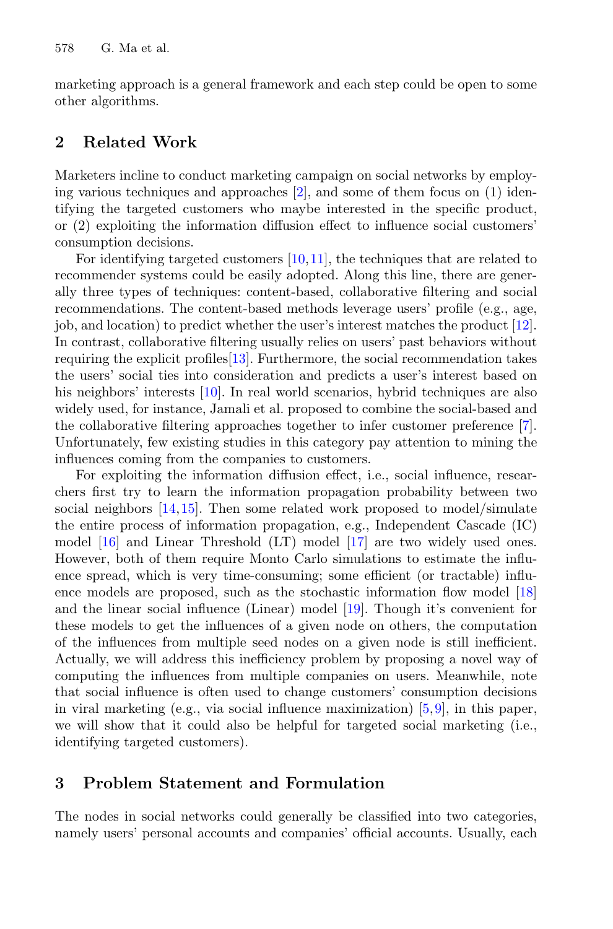marketing approach is a general framework and each step could be open to some other algorithms.

# **2 Related Work**

Marketers incline to conduct marketing campaign on social networks by employing various techniques and approaches  $[2]$ , and some of them focus on  $(1)$  identifying the targeted customers who maybe interested in the specific product, or (2) exploiting the information diffusion effect to influence social customers' consumption decisions.

For identifying targeted customers [\[10,](#page-13-9)[11\]](#page-13-10), the techniques that are related to recommender systems could be easily adopted. Along this line, there are generally three types of techniques: content-based, collaborative filtering and social recommendations. The content-based methods leverage users' profile (e.g., age, job, and location) to predict whether the user's interest matches the product [\[12\]](#page-13-11). In contrast, collaborative filtering usually relies on users' past behaviors without requiring the explicit profiles[\[13](#page-13-12)]. Furthermore, the social recommendation takes the users' social ties into consideration and predicts a user's interest based on his neighbors' interests [\[10](#page-13-9)]. In real world scenarios, hybrid techniques are also widely used, for instance, Jamali et al. proposed to combine the social-based and the collaborative filtering approaches together to infer customer preference [\[7\]](#page-13-6). Unfortunately, few existing studies in this category pay attention to mining the influences coming from the companies to customers.

For exploiting the information diffusion effect, i.e., social influence, researchers first try to learn the information propagation probability between two social neighbors [\[14](#page-13-13),[15\]](#page-13-14). Then some related work proposed to model/simulate the entire process of information propagation, e.g., Independent Cascade (IC) model [\[16](#page-13-15)] and Linear Threshold (LT) model [\[17](#page-14-0)] are two widely used ones. However, both of them require Monto Carlo simulations to estimate the influence spread, which is very time-consuming; some efficient (or tractable) influ-ence models are proposed, such as the stochastic information flow model [\[18](#page-14-1)] and the linear social influence (Linear) model [\[19\]](#page-14-2). Though it's convenient for these models to get the influences of a given node on others, the computation of the influences from multiple seed nodes on a given node is still inefficient. Actually, we will address this inefficiency problem by proposing a novel way of computing the influences from multiple companies on users. Meanwhile, note that social influence is often used to change customers' consumption decisions in viral marketing (e.g., via social influence maximization)  $[5,9]$  $[5,9]$  $[5,9]$ , in this paper, we will show that it could also be helpful for targeted social marketing (i.e., identifying targeted customers).

# **3 Problem Statement and Formulation**

The nodes in social networks could generally be classified into two categories, namely users' personal accounts and companies' official accounts. Usually, each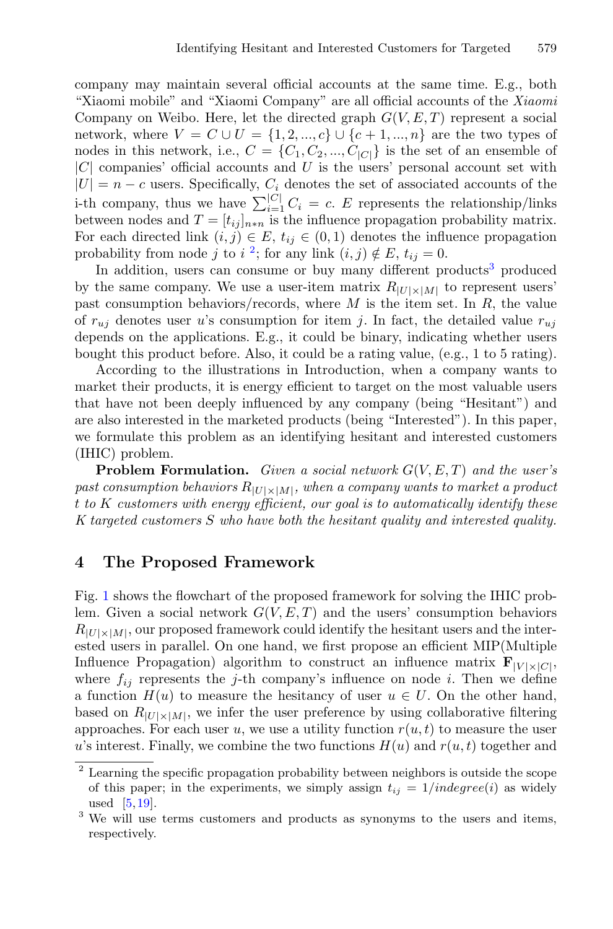company may maintain several official accounts at the same time. E.g., both "Xiaomi mobile" and "Xiaomi Company" are all official accounts of the *Xiaomi* Company on Weibo. Here, let the directed graph  $G(V, E, T)$  represent a social network, where  $V = C \cup U = \{1, 2, ..., c\} \cup \{c + 1, ..., n\}$  are the two types of nodes in this network, i.e.,  $C = \{C_1, C_2, ..., C_{|C|}\}\$ is the set of an ensemble of  $|C|$  companies' official accounts and U is the users' personal account set with  $|U| = n - c$  users. Specifically,  $C_i$  denotes the set of associated accounts of the i-th company, thus we have  $\sum_{i=1}^{|C|} C_i = c$ . E represents the relationship/links between nodes and  $T = [t_{ij}]_{n*n}$  is the influence propagation probability matrix. For each directed link  $(i, j) \in E$ ,  $t_{ij} \in (0, 1)$  denotes the influence propagation probability from node j to  $i^2$  $i^2$ ; for any link  $(i, j) \notin E$ ,  $t_{ij} = 0$ .

In addition, users can consume or buy many different products<sup>[3](#page-3-1)</sup> produced by the same company. We use a user-item matrix  $R_{|U|\times|M|}$  to represent users' past consumption behaviors/records, where  $M$  is the item set. In  $R$ , the value of  $r_{uj}$  denotes user u's consumption for item j. In fact, the detailed value  $r_{uj}$ depends on the applications. E.g., it could be binary, indicating whether users bought this product before. Also, it could be a rating value, (e.g., 1 to 5 rating).

According to the illustrations in Introduction, when a company wants to market their products, it is energy efficient to target on the most valuable users that have not been deeply influenced by any company (being "Hesitant") and are also interested in the marketed products (being "Interested"). In this paper, we formulate this problem as an identifying hesitant and interested customers (IHIC) problem.

**Problem Formulation.** *Given a social network* G(V,E,T) *and the user's* past consumption behaviors  $R_{|U|\times|M|}$ , when a company wants to market a product t *to* K *customers with energy efficient, our goal is to automatically identify these K targeted customers* S *who have both the hesitant quality and interested quality.*

## <span id="page-3-2"></span>**4 The Proposed Framework**

Fig. [1](#page-4-0) shows the flowchart of the proposed framework for solving the IHIC problem. Given a social network  $G(V, E, T)$  and the users' consumption behaviors  $R_{|U|\times|M|}$ , our proposed framework could identify the hesitant users and the interested users in parallel. On one hand, we first propose an efficient MIP(Multiple Influence Propagation) algorithm to construct an influence matrix  $\mathbf{F}_{|V| \times |C|}$ , where  $f_{ij}$  represents the j-th company's influence on node i. Then we define a function  $H(u)$  to measure the hesitancy of user  $u \in U$ . On the other hand, based on  $R_{|U|\times|M|}$ , we infer the user preference by using collaborative filtering approaches. For each user u, we use a utility function  $r(u, t)$  to measure the user u's interest. Finally, we combine the two functions  $H(u)$  and  $r(u, t)$  together and

<span id="page-3-0"></span><sup>&</sup>lt;sup>2</sup> Learning the specific propagation probability between neighbors is outside the scope of this paper; in the experiments, we simply assign  $t_{ij} = 1/indegree(i)$  as widely used [\[5](#page-13-4)[,19\]](#page-14-2).

<span id="page-3-1"></span><sup>&</sup>lt;sup>3</sup> We will use terms customers and products as synonyms to the users and items, respectively.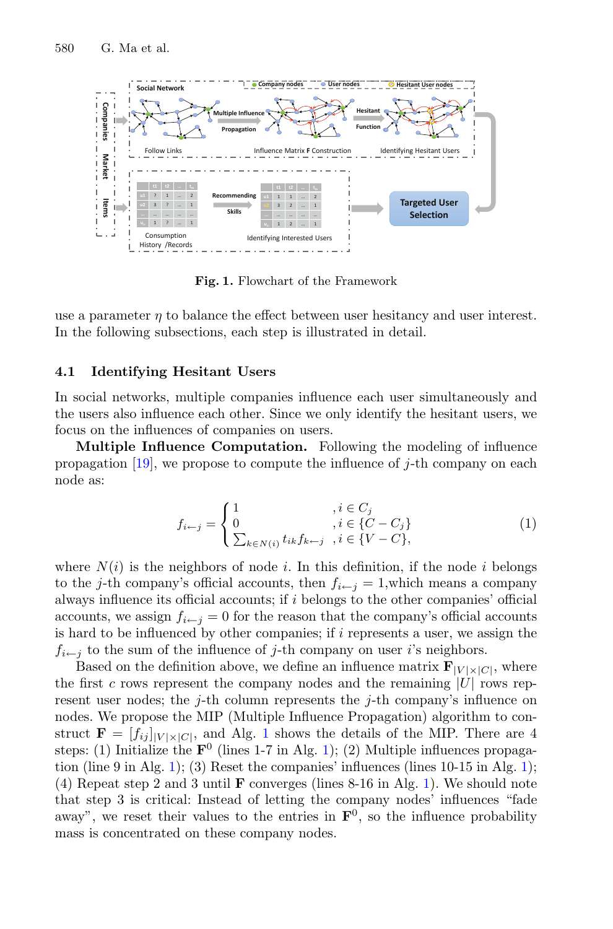

<span id="page-4-0"></span>**Fig. 1.** Flowchart of the Framework

use a parameter  $\eta$  to balance the effect between user hesitancy and user interest. In the following subsections, each step is illustrated in detail.

#### **4.1 Identifying Hesitant Users**

In social networks, multiple companies influence each user simultaneously and the users also influence each other. Since we only identify the hesitant users, we focus on the influences of companies on users.

**Multiple Influence Computation.** Following the modeling of influence propagation [\[19](#page-14-2)], we propose to compute the influence of  $j$ -th company on each node as:

$$
f_{i \leftarrow j} = \begin{cases} 1 & , i \in C_j \\ 0 & , i \in \{C - C_j\} \\ \sum_{k \in N(i)} t_{ik} f_{k \leftarrow j} & , i \in \{V - C\}, \end{cases}
$$
(1)

where  $N(i)$  is the neighbors of node i. In this definition, if the node i belongs to the j-th company's official accounts, then  $f_{i \leftarrow j} = 1$ , which means a company always influence its official accounts; if  $i$  belongs to the other companies' official accounts, we assign  $f_{i \leftarrow j} = 0$  for the reason that the company's official accounts is hard to be influenced by other companies; if  $i$  represents a user, we assign the  $f_{i \leftarrow j}$  to the sum of the influence of j-th company on user i's neighbors.

Based on the definition above, we define an influence matrix  $\mathbf{F}_{|V| \times |C|}$ , where the first c rows represent the company nodes and the remaining  $|U|$  rows represent user nodes; the j-th column represents the j-th company's influence on nodes. We propose the MIP (Multiple Influence Propagation) algorithm to construct  $\mathbf{F} = [f_{ij}]_{|V| \times |C|}$ , and Alg. [1](#page-5-0) shows the details of the MIP. There are 4 steps: ([1\)](#page-5-0) Initialize the  $\mathbf{F}^0$  (lines 1-7 in Alg. 1); (2) Multiple influences propagation (line 9 in Alg. [1\)](#page-5-0); (3) Reset the companies' influences (lines 10-15 in Alg. [1\)](#page-5-0); (4) Repeat step 2 and 3 until **F** converges (lines 8-16 in Alg. [1\)](#page-5-0). We should note that step 3 is critical: Instead of letting the company nodes' influences "fade away", we reset their values to the entries in  $\mathbf{F}^0$ , so the influence probability mass is concentrated on these company nodes.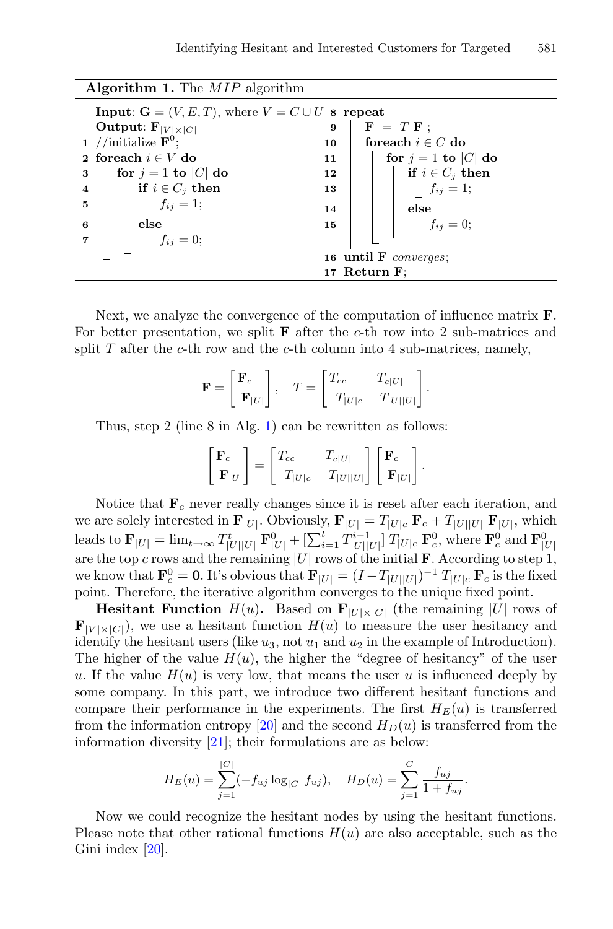| Algorithm 1. The $MIP$ algorithm |  |  |  |  |
|----------------------------------|--|--|--|--|
|----------------------------------|--|--|--|--|

<span id="page-5-0"></span>

| <b>Input:</b> $G = (V, E, T)$ , where $V = C \cup U$ <b>8</b> repeat            |    |                                    |  |  |  |  |  |
|---------------------------------------------------------------------------------|----|------------------------------------|--|--|--|--|--|
| <b>Output:</b> $\mathbf{F}_{ V  \times  C }$<br>1 //initialize $\mathbf{F}^0$ ; |    | $\mathbf{F} = T \mathbf{F}$ ;      |  |  |  |  |  |
|                                                                                 | 10 | foreach $i \in C$ do               |  |  |  |  |  |
| 2 foreach $i \in V$ do                                                          | 11 | for $j = 1$ to $ C $ do            |  |  |  |  |  |
| for $j = 1$ to  C  do<br>3                                                      | 12 | if $i \in C_j$ then                |  |  |  |  |  |
| if $i \in C_j$ then<br>$\overline{4}$                                           | 13 | $\big  f_{ij} = 1;$                |  |  |  |  |  |
| $f_{ij}=1;$<br>5                                                                | 14 | else                               |  |  |  |  |  |
| else<br>6                                                                       | 15 | $\left  \quad f_{ij} = 0; \right.$ |  |  |  |  |  |
| $f_{ij} = 0;$                                                                   |    |                                    |  |  |  |  |  |
|                                                                                 |    | 16 until $\bf{F}$ converges;       |  |  |  |  |  |
|                                                                                 |    | $17$ Return F:                     |  |  |  |  |  |

Next, we analyze the convergence of the computation of influence matrix **F**. For better presentation, we split **F** after the c-th row into 2 sub-matrices and split  $T$  after the  $c$ -th row and the  $c$ -th column into 4 sub-matrices, namely,

$$
\mathbf{F} = \begin{bmatrix} \mathbf{F}_c \\ \mathbf{F}_{|U|} \end{bmatrix}, \quad T = \begin{bmatrix} T_{cc} & T_{c|U|} \\ T_{|U|c} & T_{|U||U|} \end{bmatrix}
$$

.

Thus, step 2 (line 8 in Alg. [1\)](#page-5-0) can be rewritten as follows:

$$
\begin{bmatrix} \mathbf{F}_c \\ \mathbf{F}_{|U|} \end{bmatrix} = \begin{bmatrix} T_{cc} & T_{c|U|} \\ T_{|U|c} & T_{|U||U|} \end{bmatrix} \begin{bmatrix} \mathbf{F}_c \\ \mathbf{F}_{|U|} \end{bmatrix}.
$$

Notice that  $\mathbf{F}_c$  never really changes since it is reset after each iteration, and we are solely interested in  $\mathbf{F}_{|U|}$ . Obviously,  $\mathbf{F}_{|U|} = T_{|U|c} \mathbf{F}_c + T_{|U||U|} \mathbf{F}_{|U|}$ , which leads to  $\mathbf{F}_{|U|} = \lim_{t \to \infty} T^t_{|U||U|} \mathbf{F}_{|U|}^0 + \left[\sum_{i=1}^t T^{i-1}_{|U||U|} \right] T_{|U|c} \mathbf{F}_c^0$ , where  $\mathbf{F}_c^0$  and  $\mathbf{F}_{|U|}^0$ are the top c rows and the remaining  $|U|$  rows of the initial **F**. According to step 1, we know that  $\mathbf{F}_c^0 = \mathbf{0}$ . It's obvious that  $\mathbf{F}_{|U|} = (I - T_{|U||U|})^{-1} T_{|U|c} \mathbf{F}_c$  is the fixed point. Therefore, the iterative algorithm converges to the unique fixed point.

**Hesitant Function**  $H(u)$ . Based on  $\mathbf{F}_{|U|\times|C|}$  (the remaining |U| rows of  $\mathbf{F}_{|V|\times|C|}$ , we use a hesitant function  $H(u)$  to measure the user hesitancy and identify the hesitant users (like  $u_3$ , not  $u_1$  and  $u_2$  in the example of Introduction). The higher of the value  $H(u)$ , the higher the "degree of hesitancy" of the user u. If the value  $H(u)$  is very low, that means the user u is influenced deeply by some company. In this part, we introduce two different hesitant functions and compare their performance in the experiments. The first  $H_E(u)$  is transferred from the information entropy [\[20](#page-14-3)] and the second  $H_D(u)$  is transferred from the information diversity [\[21\]](#page-14-4); their formulations are as below:

$$
H_E(u) = \sum_{j=1}^{|C|} (-f_{uj} \log_{|C|} f_{uj}), \quad H_D(u) = \sum_{j=1}^{|C|} \frac{f_{uj}}{1 + f_{uj}}.
$$

Now we could recognize the hesitant nodes by using the hesitant functions. Please note that other rational functions  $H(u)$  are also acceptable, such as the Gini index [\[20](#page-14-3)].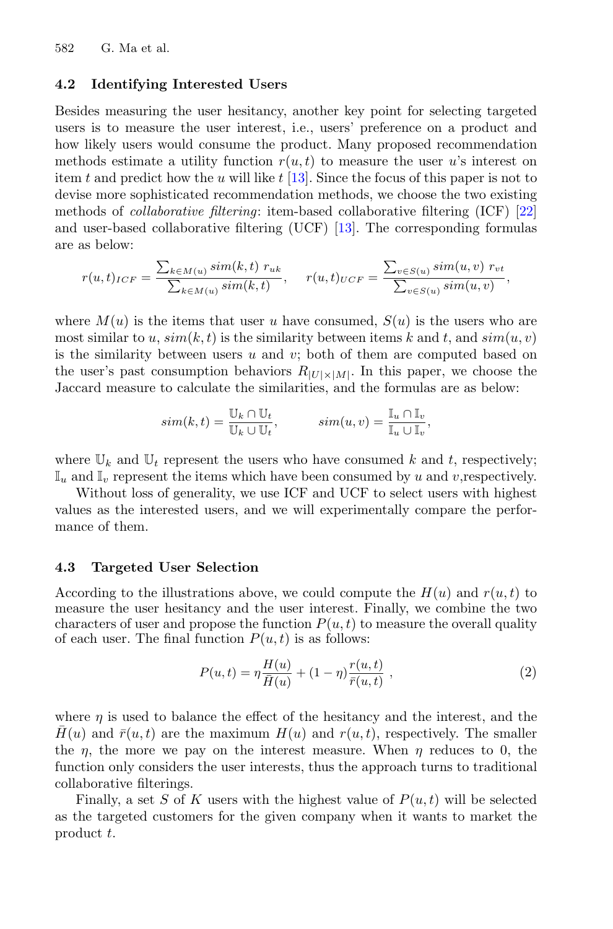#### **4.2 Identifying Interested Users**

Besides measuring the user hesitancy, another key point for selecting targeted users is to measure the user interest, i.e., users' preference on a product and how likely users would consume the product. Many proposed recommendation methods estimate a utility function  $r(u, t)$  to measure the user u's interest on item t and predict how the u will like  $t$  [\[13\]](#page-13-12). Since the focus of this paper is not to devise more sophisticated recommendation methods, we choose the two existing methods of *collaborative filtering*: item-based collaborative filtering (ICF) [\[22](#page-14-5)] and user-based collaborative filtering (UCF) [\[13](#page-13-12)]. The corresponding formulas are as below:

$$
r(u,t)_{ICF} = \frac{\sum_{k \in M(u)} sim(k,t) \ r_{uk}}{\sum_{k \in M(u)} sim(k,t)}, \quad r(u,t)_{UCF} = \frac{\sum_{v \in S(u)} sim(u,v) \ r_{vt}}{\sum_{v \in S(u)} sim(u,v)},
$$

where  $M(u)$  is the items that user u have consumed,  $S(u)$  is the users who are most similar to u,  $sim(k, t)$  is the similarity between items k and t, and  $sim(u, v)$ is the similarity between users  $u$  and  $v$ ; both of them are computed based on the user's past consumption behaviors  $R_{|U|\times|M|}$ . In this paper, we choose the Jaccard measure to calculate the similarities, and the formulas are as below:

$$
sim(k,t) = \frac{\mathbb{U}_k \cap \mathbb{U}_t}{\mathbb{U}_k \cup \mathbb{U}_t}, \qquad sim(u,v) = \frac{\mathbb{I}_u \cap \mathbb{I}_v}{\mathbb{I}_u \cup \mathbb{I}_v},
$$

where  $\mathbb{U}_k$  and  $\mathbb{U}_t$  represent the users who have consumed k and t, respectively;  $\mathbb{I}_u$  and  $\mathbb{I}_v$  represent the items which have been consumed by u and v,respectively.

Without loss of generality, we use ICF and UCF to select users with highest values as the interested users, and we will experimentally compare the performance of them.

#### **4.3 Targeted User Selection**

According to the illustrations above, we could compute the  $H(u)$  and  $r(u, t)$  to measure the user hesitancy and the user interest. Finally, we combine the two characters of user and propose the function  $P(u, t)$  to measure the overall quality of each user. The final function  $P(u, t)$  is as follows:

$$
P(u,t) = \eta \frac{H(u)}{\bar{H}(u)} + (1 - \eta) \frac{r(u,t)}{\bar{r}(u,t)},
$$
\n(2)

where  $\eta$  is used to balance the effect of the hesitancy and the interest, and the  $H(u)$  and  $\bar{r}(u, t)$  are the maximum  $H(u)$  and  $r(u, t)$ , respectively. The smaller the  $\eta$ , the more we pay on the interest measure. When  $\eta$  reduces to 0, the function only considers the user interests, thus the approach turns to traditional collaborative filterings.

Finally, a set S of K users with the highest value of  $P(u, t)$  will be selected as the targeted customers for the given company when it wants to market the product t.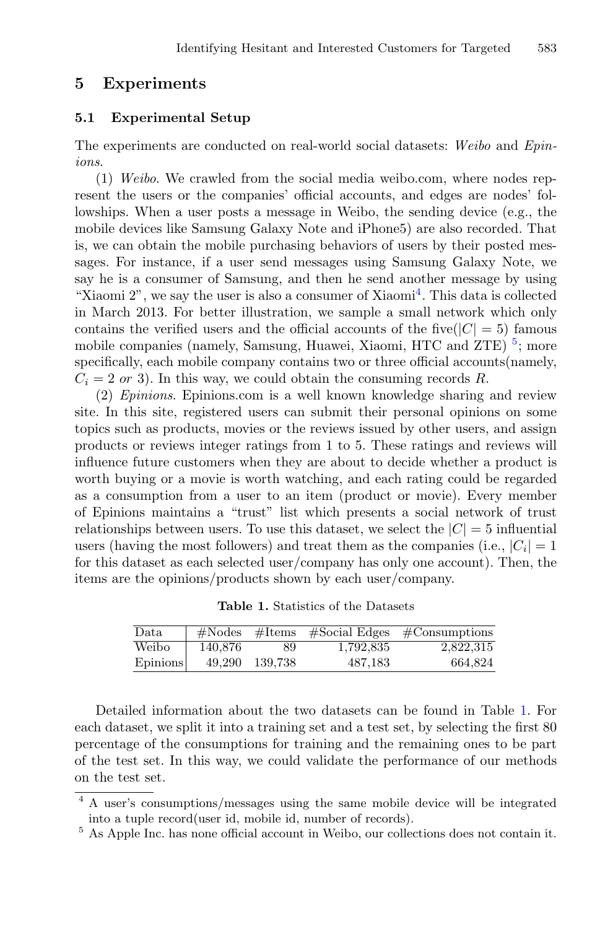# **5 Experiments**

#### **5.1 Experimental Setup**

The experiments are conducted on real-world social datasets: *Weibo* and *Epinions*.

(1) *Weibo*. We crawled from the social media weibo.com, where nodes represent the users or the companies' official accounts, and edges are nodes' followships. When a user posts a message in Weibo, the sending device (e.g., the mobile devices like Samsung Galaxy Note and iPhone5) are also recorded. That is, we can obtain the mobile purchasing behaviors of users by their posted messages. For instance, if a user send messages using Samsung Galaxy Note, we say he is a consumer of Samsung, and then he send another message by using "Xiaomi 2", we say the user is also a consumer of Xiaomi<sup>[4](#page-7-0)</sup>. This data is collected in March 2013. For better illustration, we sample a small network which only contains the verified users and the official accounts of the five( $|C| = 5$ ) famous mobile companies (namely, Samsung, Huawei, Xiaomi, HTC and  $ZTE$ )<sup>[5](#page-7-1)</sup>; more specifically, each mobile company contains two or three official accounts(namely,  $C_i = 2$  *or* 3). In this way, we could obtain the consuming records R.

(2) *Epinions*. Epinions.com is a well known knowledge sharing and review site. In this site, registered users can submit their personal opinions on some topics such as products, movies or the reviews issued by other users, and assign products or reviews integer ratings from 1 to 5. These ratings and reviews will influence future customers when they are about to decide whether a product is worth buying or a movie is worth watching, and each rating could be regarded as a consumption from a user to an item (product or movie). Every member of Epinions maintains a "trust" list which presents a social network of trust relationships between users. To use this dataset, we select the  $|C| = 5$  influential users (having the most followers) and treat them as the companies (i.e.,  $|C_i| = 1$ for this dataset as each selected user/company has only one account). Then, the items are the opinions/products shown by each user/company.

<span id="page-7-2"></span>**Table 1.** Statistics of the Datasets

| Data     |         |                |           | $\# \text{Nodes}$ #Items #Social Edges #Consumptions |
|----------|---------|----------------|-----------|------------------------------------------------------|
| Weibo    | 140,876 | 89             | 1,792,835 | 2,822,315                                            |
| Epinions |         | 49,290 139,738 | 487,183   | 664,824                                              |

Detailed information about the two datasets can be found in Table [1.](#page-7-2) For each dataset, we split it into a training set and a test set, by selecting the first 80 percentage of the consumptions for training and the remaining ones to be part of the test set. In this way, we could validate the performance of our methods on the test set.

<span id="page-7-0"></span><sup>4</sup> A user's consumptions/messages using the same mobile device will be integrated into a tuple record(user id, mobile id, number of records).

<span id="page-7-1"></span><sup>5</sup> As Apple Inc. has none official account in Weibo, our collections does not contain it.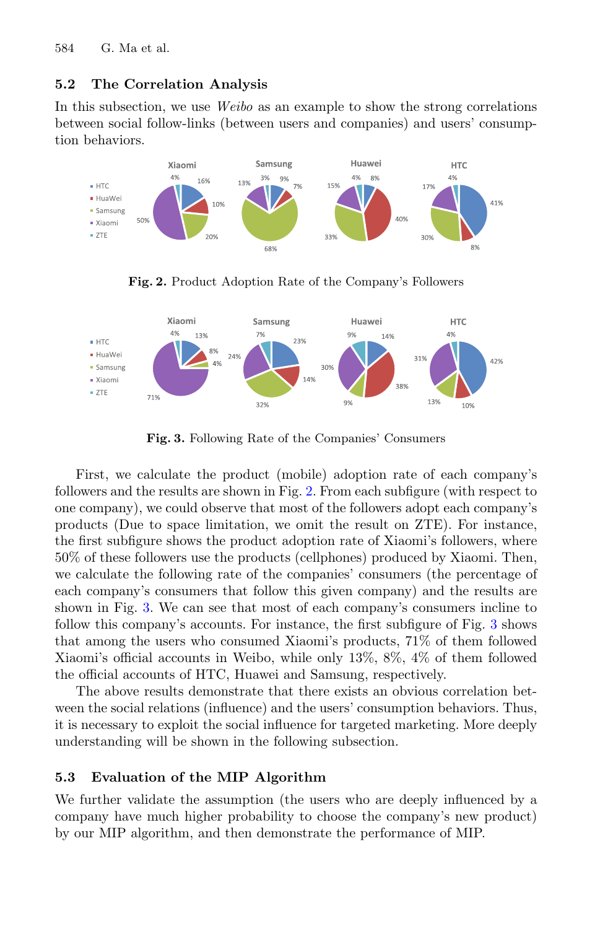# **5.2 The Correlation Analysis**

In this subsection, we use *Weibo* as an example to show the strong correlations between social follow-links (between users and companies) and users' consumption behaviors.



**Fig. 2.** Product Adoption Rate of the Company's Followers

<span id="page-8-0"></span>

**Fig. 3.** Following Rate of the Companies' Consumers

<span id="page-8-1"></span>First, we calculate the product (mobile) adoption rate of each company's followers and the results are shown in Fig. [2.](#page-8-0) From each subfigure (with respect to one company), we could observe that most of the followers adopt each company's products (Due to space limitation, we omit the result on ZTE). For instance, the first subfigure shows the product adoption rate of Xiaomi's followers, where 50% of these followers use the products (cellphones) produced by Xiaomi. Then, we calculate the following rate of the companies' consumers (the percentage of each company's consumers that follow this given company) and the results are shown in Fig. [3.](#page-8-1) We can see that most of each company's consumers incline to follow this company's accounts. For instance, the first subfigure of Fig. [3](#page-8-1) shows that among the users who consumed Xiaomi's products, 71% of them followed Xiaomi's official accounts in Weibo, while only 13%, 8%, 4% of them followed the official accounts of HTC, Huawei and Samsung, respectively.

The above results demonstrate that there exists an obvious correlation between the social relations (influence) and the users' consumption behaviors. Thus, it is necessary to exploit the social influence for targeted marketing. More deeply understanding will be shown in the following subsection.

## **5.3 Evaluation of the MIP Algorithm**

We further validate the assumption (the users who are deeply influenced by a company have much higher probability to choose the company's new product) by our MIP algorithm, and then demonstrate the performance of MIP.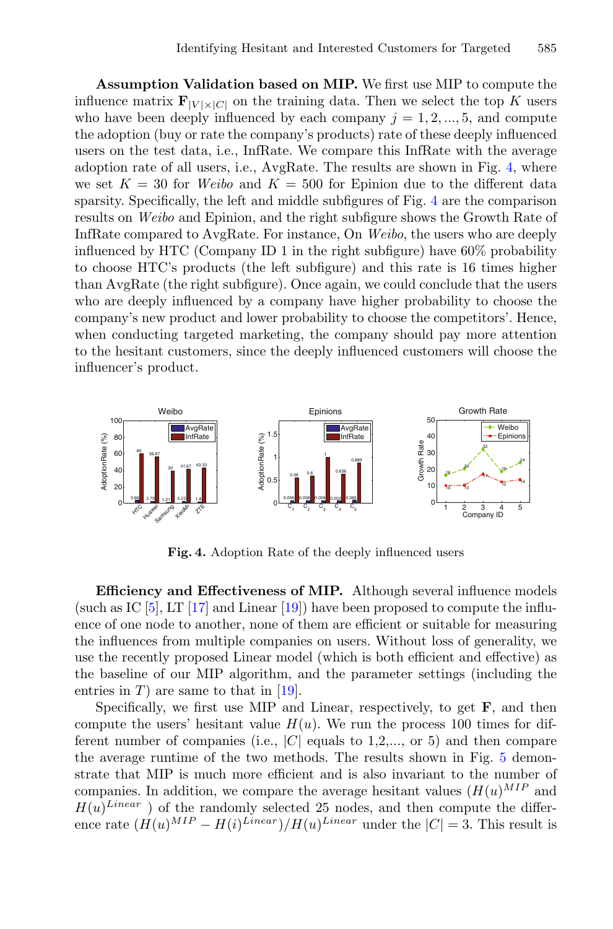**Assumption Validation based on MIP.** We first use MIP to compute the influence matrix  $\mathbf{F}_{|V| \times |C|}$  on the training data. Then we select the top K users who have been deeply influenced by each company  $j = 1, 2, ..., 5$ , and compute the adoption (buy or rate the company's products) rate of these deeply influenced users on the test data, i.e., InfRate. We compare this InfRate with the average adoption rate of all users, i.e., AvgRate. The results are shown in Fig. [4,](#page-9-0) where we set  $K = 30$  for *Weibo* and  $K = 500$  for Epinion due to the different data sparsity. Specifically, the left and middle subfigures of Fig. [4](#page-9-0) are the comparison results on *Weibo* and Epinion, and the right subfigure shows the Growth Rate of InfRate compared to AvgRate. For instance, On *Weibo*, the users who are deeply influenced by HTC (Company ID 1 in the right subfigure) have 60% probability to choose HTC's products (the left subfigure) and this rate is 16 times higher than AvgRate (the right subfigure). Once again, we could conclude that the users who are deeply influenced by a company have higher probability to choose the company's new product and lower probability to choose the competitors'. Hence, when conducting targeted marketing, the company should pay more attention to the hesitant customers, since the deeply influenced customers will choose the influencer's product.



**Fig. 4.** Adoption Rate of the deeply influenced users

<span id="page-9-0"></span>**Efficiency and Effectiveness of MIP.** Although several influence models (such as IC  $[5]$  $[5]$ , LT  $[17]$  $[17]$  and Linear  $[19]$  $[19]$ ) have been proposed to compute the influence of one node to another, none of them are efficient or suitable for measuring the influences from multiple companies on users. Without loss of generality, we use the recently proposed Linear model (which is both efficient and effective) as the baseline of our MIP algorithm, and the parameter settings (including the entries in  $T$ ) are same to that in [\[19](#page-14-2)].

Specifically, we first use MIP and Linear, respectively, to get **F**, and then compute the users' hesitant value  $H(u)$ . We run the process 100 times for different number of companies (i.e.,  $|C|$  equals to 1,2,..., or 5) and then compare the average runtime of the two methods. The results shown in Fig. [5](#page-10-0) demonstrate that MIP is much more efficient and is also invariant to the number of companies. In addition, we compare the average hesitant values  $(H(u)^{MIP})$  and  $H(u)^{Linear}$  ) of the randomly selected 25 nodes, and then compute the difference rate  $(H(u)^{MIP} - H(i)^{Linear})/H(u)^{Linear}$  under the  $|C| = 3$ . This result is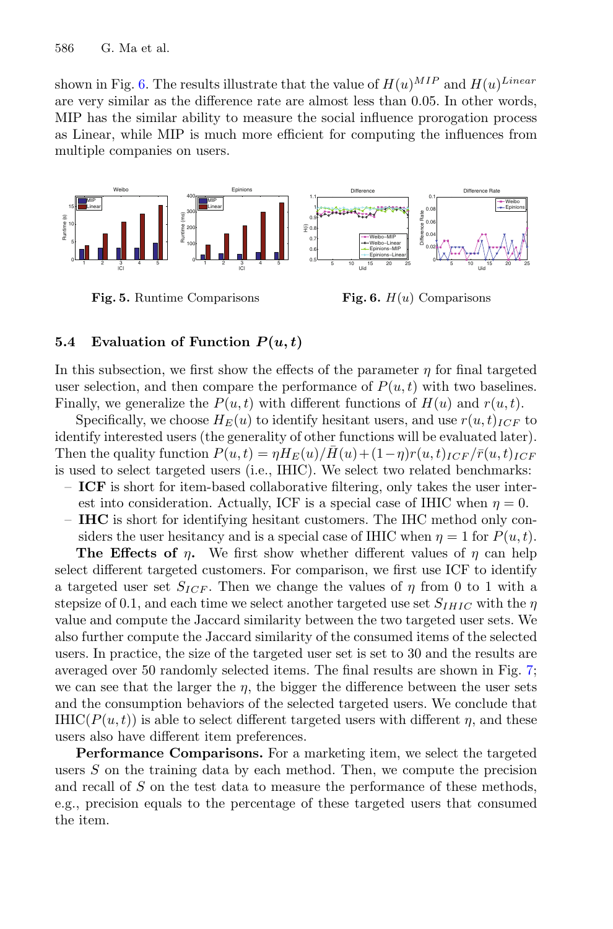shown in Fig. [6.](#page-10-1) The results illustrate that the value of  $H(u)^{MIP}$  and  $H(u)^{Linear}$ are very similar as the difference rate are almost less than 0.05. In other words, MIP has the similar ability to measure the social influence prorogation process as Linear, while MIP is much more efficient for computing the influences from multiple companies on users.



**Fig. 5.** Runtime Comparisons

<span id="page-10-1"></span>**Fig. 6.**  $H(u)$  Comparisons

### <span id="page-10-0"></span>**5.4** Evaluation of Function  $P(u,t)$

In this subsection, we first show the effects of the parameter  $\eta$  for final targeted user selection, and then compare the performance of  $P(u, t)$  with two baselines. Finally, we generalize the  $P(u, t)$  with different functions of  $H(u)$  and  $r(u, t)$ .

Specifically, we choose  $H_E(u)$  to identify hesitant users, and use  $r(u, t)_{ICF}$  to identify interested users (the generality of other functions will be evaluated later). Then the quality function  $P(u, t) = \eta H_E(u)/\bar{H}(u) + (1-\eta)r(u, t)_{ICF}/\bar{r}(u, t)_{ICF}$ is used to select targeted users (i.e., IHIC). We select two related benchmarks:

- **ICF** is short for item-based collaborative filtering, only takes the user interest into consideration. Actually, ICF is a special case of IHIC when  $\eta = 0$ .
- **IHC** is short for identifying hesitant customers. The IHC method only considers the user hesitancy and is a special case of IHIC when  $\eta = 1$  for  $P(u, t)$ .

**The Effects of**  $\eta$ **.** We first show whether different values of  $\eta$  can help select different targeted customers. For comparison, we first use ICF to identify a targeted user set  $S_{ICF}$ . Then we change the values of  $\eta$  from 0 to 1 with a stepsize of 0.1, and each time we select another targeted use set  $S_{IHIC}$  with the  $\eta$ value and compute the Jaccard similarity between the two targeted user sets. We also further compute the Jaccard similarity of the consumed items of the selected users. In practice, the size of the targeted user set is set to 30 and the results are averaged over 50 randomly selected items. The final results are shown in Fig. [7;](#page-11-0) we can see that the larger the  $\eta$ , the bigger the difference between the user sets and the consumption behaviors of the selected targeted users. We conclude that IHIC( $P(u, t)$ ) is able to select different targeted users with different  $\eta$ , and these users also have different item preferences.

**Performance Comparisons.** For a marketing item, we select the targeted users  $S$  on the training data by each method. Then, we compute the precision and recall of S on the test data to measure the performance of these methods, e.g., precision equals to the percentage of these targeted users that consumed the item.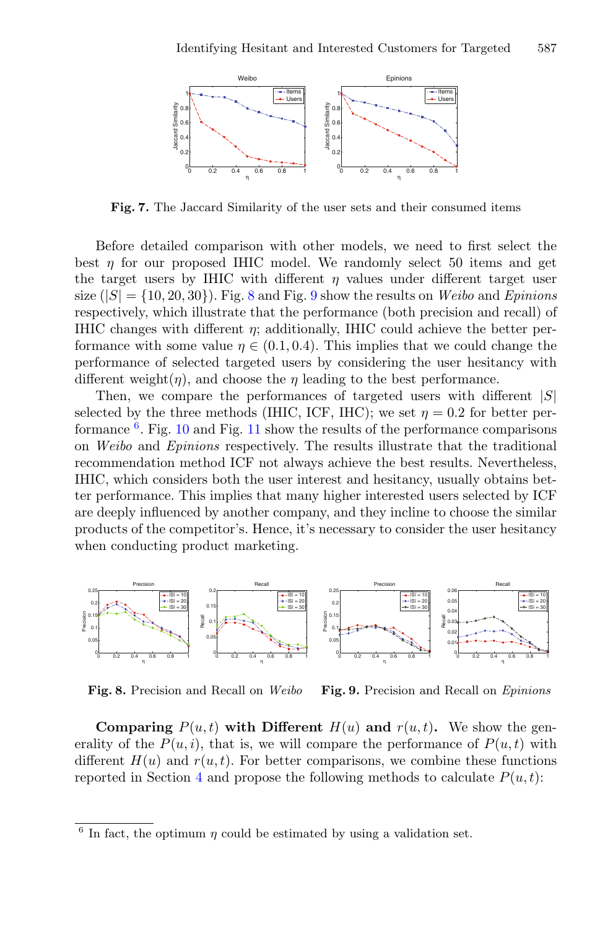

**Fig. 7.** The Jaccard Similarity of the user sets and their consumed items

<span id="page-11-0"></span>Before detailed comparison with other models, we need to first select the best  $\eta$  for our proposed IHIC model. We randomly select 50 items and get the target users by IHIC with different  $\eta$  values under different target user size  $(|S| = \{10, 20, 30\})$ . Fig. [8](#page-11-1) and Fig. [9](#page-11-2) show the results on *Weibo* and *Epinions* respectively, which illustrate that the performance (both precision and recall) of IHIC changes with different  $\eta$ ; additionally, IHIC could achieve the better performance with some value  $\eta \in (0.1, 0.4)$ . This implies that we could change the performance of selected targeted users by considering the user hesitancy with different weight(*n*), and choose the *n* leading to the best performance.

Then, we compare the performances of targeted users with different  $|S|$ selected by the three methods (IHIC, ICF, IHC); we set  $\eta = 0.2$  for better performance  $6$ . Fig. [10](#page-12-0) and Fig. [11](#page-12-1) show the results of the performance comparisons on *Weibo* and *Epinions* respectively. The results illustrate that the traditional recommendation method ICF not always achieve the best results. Nevertheless, IHIC, which considers both the user interest and hesitancy, usually obtains better performance. This implies that many higher interested users selected by ICF are deeply influenced by another company, and they incline to choose the similar products of the competitor's. Hence, it's necessary to consider the user hesitancy when conducting product marketing.



<span id="page-11-2"></span><span id="page-11-1"></span>**Fig. 8.** Precision and Recall on *Weibo* **Fig. 9.** Precision and Recall on *Epinions*

**Comparing**  $P(u, t)$  with Different  $H(u)$  and  $r(u, t)$ . We show the generality of the  $P(u, i)$ , that is, we will compare the performance of  $P(u, t)$  with different  $H(u)$  and  $r(u, t)$ . For better comparisons, we combine these functions reported in Section [4](#page-3-2) and propose the following methods to calculate  $P(u, t)$ :

<span id="page-11-3"></span><sup>&</sup>lt;sup>6</sup> In fact, the optimum  $\eta$  could be estimated by using a validation set.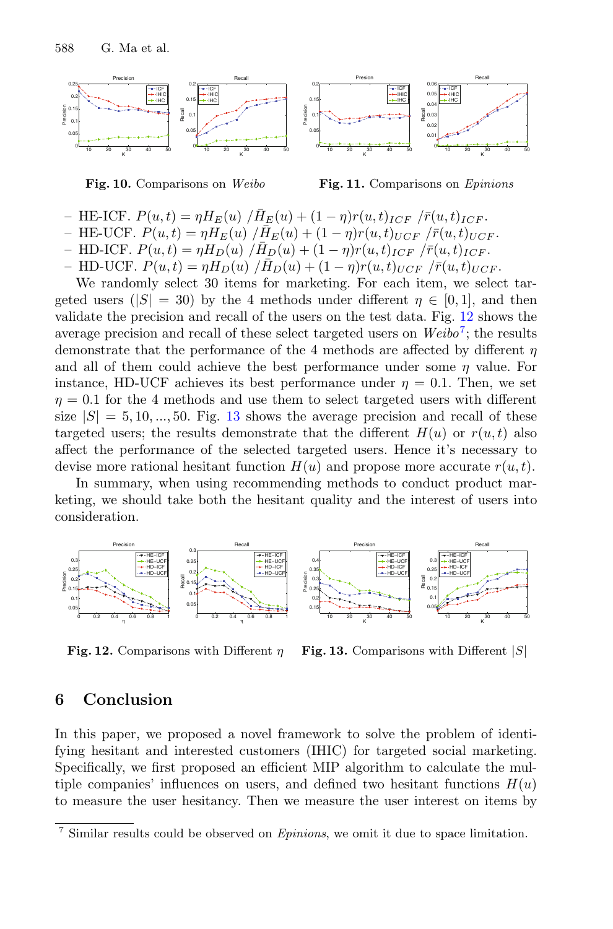

**Fig. 10.** Comparisons on *Weibo*

<span id="page-12-1"></span>**Fig. 11.** Comparisons on *Epinions*

- <span id="page-12-0"></span> $-$  HE-ICF.  $P(u,t) = \eta H_E(u) / H_E(u) + (1 - \eta)r(u,t)_{ICF} / \bar{r}(u,t)_{ICF}$ .
- $-$  HE-UCF.  $P(u,t) = \eta H_E(u) / \bar{H}_E(u) + (1-\eta)r(u,t)_{UCF} / \bar{r}(u,t)_{UCF}$ .
- $-$  HD-ICF.  $P(u,t) = \eta H_D(u) / \bar{H}_D(u) + (1 \eta) r(u,t)_{ICF} / \bar{r}(u,t)_{ICF}$ .
- $-$  HD-UCF.  $P(u,t) = \eta H_D(u) / \bar{H}_D(u) + (1 \eta)r(u,t)_{UCF} / \bar{r}(u,t)_{UCF}$ .

We randomly select 30 items for marketing. For each item, we select targeted users ( $|S| = 30$ ) by the 4 methods under different  $\eta \in [0, 1]$ , and then validate the precision and recall of the users on the test data. Fig. [12](#page-12-2) shows the average precision and recall of these select targeted users on *Weibo*[7](#page-12-3); the results demonstrate that the performance of the 4 methods are affected by different  $\eta$ and all of them could achieve the best performance under some  $\eta$  value. For instance, HD-UCF achieves its best performance under  $\eta = 0.1$ . Then, we set  $\eta = 0.1$  for the 4 methods and use them to select targeted users with different size  $|S| = 5, 10, ..., 50$ . Fig. [13](#page-12-4) shows the average precision and recall of these targeted users; the results demonstrate that the different  $H(u)$  or  $r(u, t)$  also affect the performance of the selected targeted users. Hence it's necessary to devise more rational hesitant function  $H(u)$  and propose more accurate  $r(u, t)$ .

In summary, when using recommending methods to conduct product marketing, we should take both the hesitant quality and the interest of users into consideration.



<span id="page-12-4"></span><span id="page-12-2"></span>**Fig. 12.** Comparisons with Different  $\eta$ **Fig. 13.** Comparisons with Different  $|S|$ 

### **6 Conclusion**

In this paper, we proposed a novel framework to solve the problem of identifying hesitant and interested customers (IHIC) for targeted social marketing. Specifically, we first proposed an efficient MIP algorithm to calculate the multiple companies' influences on users, and defined two hesitant functions  $H(u)$ to measure the user hesitancy. Then we measure the user interest on items by

<span id="page-12-3"></span><sup>7</sup> Similar results could be observed on *Epinions*, we omit it due to space limitation.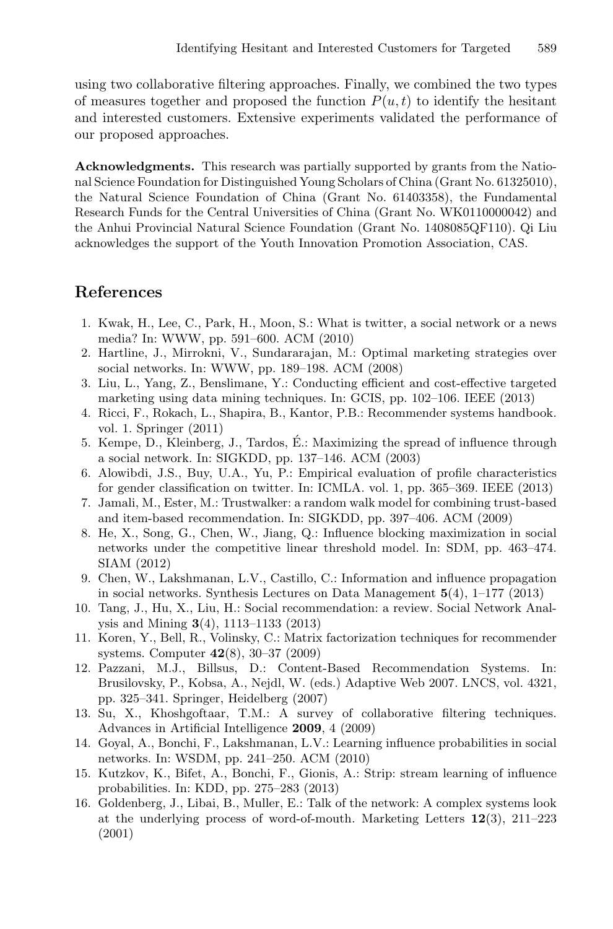using two collaborative filtering approaches. Finally, we combined the two types of measures together and proposed the function  $P(u, t)$  to identify the hesitant and interested customers. Extensive experiments validated the performance of our proposed approaches.

**Acknowledgments.** This research was partially supported by grants from the National Science Foundation for Distinguished Young Scholars of China (Grant No. 61325010), the Natural Science Foundation of China (Grant No. 61403358), the Fundamental Research Funds for the Central Universities of China (Grant No. WK0110000042) and the Anhui Provincial Natural Science Foundation (Grant No. 1408085QF110). Qi Liu acknowledges the support of the Youth Innovation Promotion Association, CAS.

# <span id="page-13-0"></span>**References**

- 1. Kwak, H., Lee, C., Park, H., Moon, S.: What is twitter, a social network or a news media? In: WWW, pp. 591–600. ACM (2010)
- <span id="page-13-1"></span>2. Hartline, J., Mirrokni, V., Sundararajan, M.: Optimal marketing strategies over social networks. In: WWW, pp. 189–198. ACM (2008)
- <span id="page-13-2"></span>3. Liu, L., Yang, Z., Benslimane, Y.: Conducting efficient and cost-effective targeted marketing using data mining techniques. In: GCIS, pp. 102–106. IEEE (2013)
- <span id="page-13-3"></span>4. Ricci, F., Rokach, L., Shapira, B., Kantor, P.B.: Recommender systems handbook. vol. 1. Springer (2011)
- <span id="page-13-4"></span>5. Kempe, D., Kleinberg, J., Tardos, E.: Maximizing the spread of influence through ´ a social network. In: SIGKDD, pp. 137–146. ACM (2003)
- <span id="page-13-5"></span>6. Alowibdi, J.S., Buy, U.A., Yu, P.: Empirical evaluation of profile characteristics for gender classification on twitter. In: ICMLA. vol. 1, pp. 365–369. IEEE (2013)
- <span id="page-13-6"></span>7. Jamali, M., Ester, M.: Trustwalker: a random walk model for combining trust-based and item-based recommendation. In: SIGKDD, pp. 397–406. ACM (2009)
- <span id="page-13-7"></span>8. He, X., Song, G., Chen, W., Jiang, Q.: Influence blocking maximization in social networks under the competitive linear threshold model. In: SDM, pp. 463–474. SIAM (2012)
- <span id="page-13-8"></span>9. Chen, W., Lakshmanan, L.V., Castillo, C.: Information and influence propagation in social networks. Synthesis Lectures on Data Management **5**(4), 1–177 (2013)
- <span id="page-13-9"></span>10. Tang, J., Hu, X., Liu, H.: Social recommendation: a review. Social Network Analysis and Mining **3**(4), 1113–1133 (2013)
- <span id="page-13-10"></span>11. Koren, Y., Bell, R., Volinsky, C.: Matrix factorization techniques for recommender systems. Computer **42**(8), 30–37 (2009)
- <span id="page-13-11"></span>12. Pazzani, M.J., Billsus, D.: Content-Based Recommendation Systems. In: Brusilovsky, P., Kobsa, A., Nejdl, W. (eds.) Adaptive Web 2007. LNCS, vol. 4321, pp. 325–341. Springer, Heidelberg (2007)
- <span id="page-13-12"></span>13. Su, X., Khoshgoftaar, T.M.: A survey of collaborative filtering techniques. Advances in Artificial Intelligence **2009**, 4 (2009)
- <span id="page-13-13"></span>14. Goyal, A., Bonchi, F., Lakshmanan, L.V.: Learning influence probabilities in social networks. In: WSDM, pp. 241–250. ACM (2010)
- <span id="page-13-14"></span>15. Kutzkov, K., Bifet, A., Bonchi, F., Gionis, A.: Strip: stream learning of influence probabilities. In: KDD, pp. 275–283 (2013)
- <span id="page-13-15"></span>16. Goldenberg, J., Libai, B., Muller, E.: Talk of the network: A complex systems look at the underlying process of word-of-mouth. Marketing Letters **12**(3), 211–223 (2001)